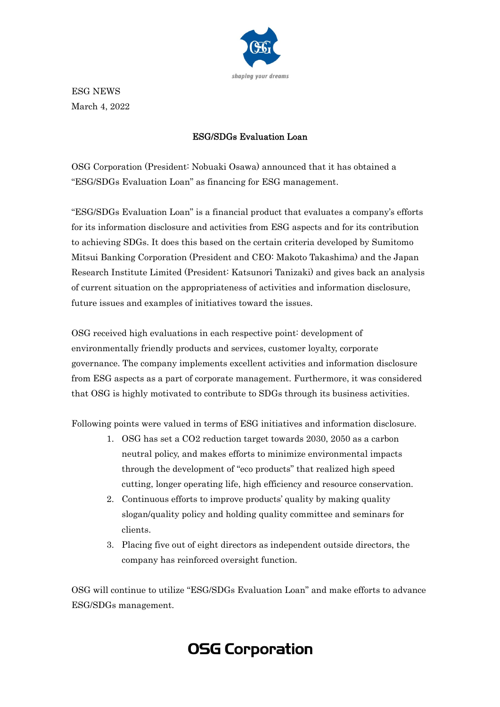

ESG NEWS March 4, 2022

## ESG/SDGs Evaluation Loan

OSG Corporation (President: Nobuaki Osawa) announced that it has obtained a "ESG/SDGs Evaluation Loan" as financing for ESG management.

"ESG/SDGs Evaluation Loan" is a financial product that evaluates a company's efforts for its information disclosure and activities from ESG aspects and for its contribution to achieving SDGs. It does this based on the certain criteria developed by Sumitomo Mitsui Banking Corporation (President and CEO: Makoto Takashima) and the Japan Research Institute Limited (President: Katsunori Tanizaki) and gives back an analysis of current situation on the appropriateness of activities and information disclosure, future issues and examples of initiatives toward the issues.

OSG received high evaluations in each respective point: development of environmentally friendly products and services, customer loyalty, corporate governance. The company implements excellent activities and information disclosure from ESG aspects as a part of corporate management. Furthermore, it was considered that OSG is highly motivated to contribute to SDGs through its business activities.

Following points were valued in terms of ESG initiatives and information disclosure.

- 1. OSG has set a CO2 reduction target towards 2030, 2050 as a carbon neutral policy, and makes efforts to minimize environmental impacts through the development of "eco products" that realized high speed cutting, longer operating life, high efficiency and resource conservation.
- 2. Continuous efforts to improve products' quality by making quality slogan/quality policy and holding quality committee and seminars for clients.
- 3. Placing five out of eight directors as independent outside directors, the company has reinforced oversight function.

OSG will continue to utilize "ESG/SDGs Evaluation Loan" and make efforts to advance ESG/SDGs management.

## **OSG Corporation**